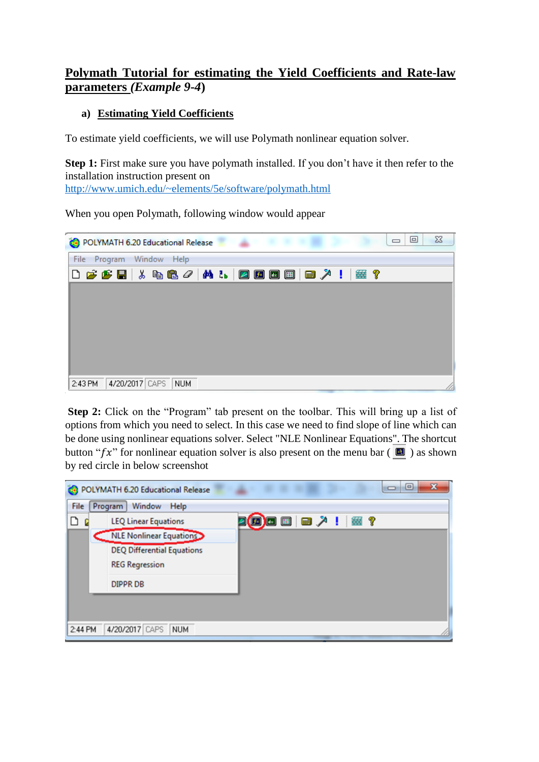## **Polymath Tutorial for estimating the Yield Coefficients and Rate-law parameters** *(Example 9-4***)**

## **a) Estimating Yield Coefficients**

To estimate yield coefficients, we will use Polymath nonlinear equation solver.

**Step 1:** First make sure you have polymath installed. If you don't have it then refer to the installation instruction present on <http://www.umich.edu/~elements/5e/software/polymath.html>

When you open Polymath, following window would appear

| POLYMATH 6.20 Educational Release                                                                                          |                |     |  |  |  | ▣<br>$\Box$ | 23 |
|----------------------------------------------------------------------------------------------------------------------------|----------------|-----|--|--|--|-------------|----|
| File Program Window Help                                                                                                   |                |     |  |  |  |             |    |
| $\bigcap$ $\bigcirc$ $\bigcirc$ . $\bigcirc$ . $\bigcirc$ . $\bigcirc$ . $\bigcirc$ . $\bigcirc$ . $\bigcirc$ . $\bigcirc$ |                |     |  |  |  |             |    |
|                                                                                                                            |                |     |  |  |  |             |    |
|                                                                                                                            |                |     |  |  |  |             |    |
|                                                                                                                            |                |     |  |  |  |             |    |
|                                                                                                                            |                |     |  |  |  |             |    |
|                                                                                                                            |                |     |  |  |  |             |    |
|                                                                                                                            |                |     |  |  |  |             |    |
| 2:43 PM                                                                                                                    | 4/20/2017 CAPS | NUM |  |  |  |             |    |

**Step 2:** Click on the "Program" tab present on the toolbar. This will bring up a list of options from which you need to select. In this case we need to find slope of line which can be done using nonlinear equations solver. Select "NLE Nonlinear Equations". The shortcut button " $f x$ " for nonlinear equation solver is also present on the menu bar ( $\Box$ ) as shown by red circle in below screenshot

| œ       | POLYMATH 6.20 Educational Release | ×<br>$\Xi$ |
|---------|-----------------------------------|------------|
| File    | Window<br>Program<br>Help         |            |
| D       | <b>LEQ Linear Equations</b>       |            |
|         | NLE Nonlinear Equations           |            |
|         | <b>DEQ Differential Equations</b> |            |
|         | <b>REG Regression</b>             |            |
|         | <b>DIPPR DB</b>                   |            |
|         |                                   |            |
|         |                                   |            |
| 2:44 PM | 4/20/2017 CAPS<br><b>NUM</b>      |            |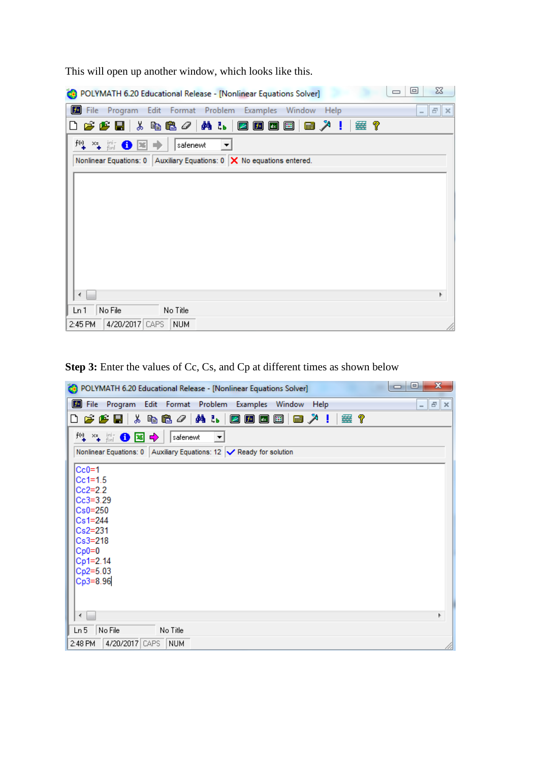| $\Sigma$<br>$\Box$<br>POLYMATH 6.20 Educational Release - [Nonlinear Equations Solver]                |
|-------------------------------------------------------------------------------------------------------|
| File Program Edit Format Problem Examples<br>Window Help<br>$ \mathbf{F}$ $\times$                    |
| <u> ※ 电电 / / M 1.</u><br>ା #≊ ?<br>$\boldsymbol{\beta}$ $\boldsymbol{\beta}$ di<br>乙内因因<br>■ ↗ !<br>D |
| $f^{(s)}$ $\times =$ $\lim_{\pm \to \pm}$<br>⊕<br>œ<br>safenewt<br>$\vert \cdot \vert$                |
| Nonlinear Equations: 0   Auxiliary Equations: 0 $\mathsf{X}$ No equations entered.                    |
|                                                                                                       |
|                                                                                                       |
|                                                                                                       |
|                                                                                                       |
|                                                                                                       |
|                                                                                                       |
|                                                                                                       |
| r                                                                                                     |
| No File<br>No Title<br>Ln 1                                                                           |
| 4/20/2017 CAPS<br><b>NUM</b><br>2:45 PM                                                               |

This will open up another window, which looks like this.

**Step 3:** Enter the values of Cc, Cs, and Cp at different times as shown below

| $\mathbf{x}$<br>▣<br>$\Box$<br>POLYMATH 6.20 Educational Release - [Nonlinear Equations Solver]                                   |
|-----------------------------------------------------------------------------------------------------------------------------------|
| File Program Edit Format Problem Examples Window Help<br>$ F$<br>$\vert x \vert$                                                  |
| ↓ も色 <i>/</i> │ A ↓ │ Ø Ø 回 回<br>垂?<br>■ 入!<br>$\boldsymbol{\beta} \boldsymbol{\beta} \mathbf{E}$ .<br>∐                          |
| $\mathbb{F}_+$ $\cong$ $\mathbb{F}_+$ and $\mathbf{0}$ $\mathbf{1}$ $\mathbf{0}$ $\mathbf{1}$<br>safenewt<br>$\blacktriangledown$ |
| Nonlinear Equations: 0   Auxiliary Equations: 12   √ Ready for solution                                                           |
| $Cc0=1$                                                                                                                           |
| $Cc1 = 1.5$                                                                                                                       |
| $Cc2=2.2$<br>$Cc3 = 3.29$                                                                                                         |
| $Cs0=250$                                                                                                                         |
| $Cs1 = 244$                                                                                                                       |
| Cs2=231                                                                                                                           |
| Cs3=218                                                                                                                           |
| $Cp0=0$<br>Cp1=2.14                                                                                                               |
| $Cp2=5.03$                                                                                                                        |
| $Cp3=8.96$                                                                                                                        |
|                                                                                                                                   |
|                                                                                                                                   |
|                                                                                                                                   |
| Ln 5<br>No File<br>No Title                                                                                                       |
| 4/20/2017 CAPS<br><b>NUM</b><br>2:48 PM                                                                                           |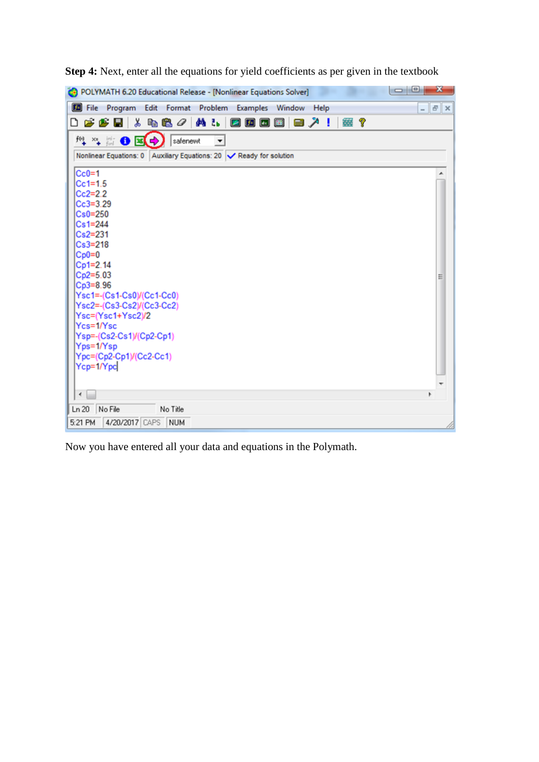| POLYMATH 6.20 Educational Release - [Nonlinear Equations Solver]                                               | $\Box$ e<br>x |
|----------------------------------------------------------------------------------------------------------------|---------------|
| <b>Ed</b> File<br>Program Edit Format Problem Examples Window Help                                             | $  \in$ $x$   |
| $\lambda$ b c $\sigma$ $\vert$<br>两部<br>塞?<br>▯◶◓▤<br>$\boxed{2}$ $\boxed{5}$ $\boxed{4}$ $\boxed{4}$<br>■ ↗ ! |               |
| <b>/4 /4 篇 ❶ 图 (→)</b><br>safenewt<br>$\blacktriangledown$                                                     |               |
| Nonlinear Equations: 0   Auxiliary Equations: 20   Ready for solution                                          |               |
|                                                                                                                |               |
| $Cc0=1$                                                                                                        |               |
| $Cc1=1.5$                                                                                                      |               |
| $Cc2=2.2$                                                                                                      |               |
| $Cc3=3.29$<br>$Cs0=250$                                                                                        |               |
| $Cs1 = 244$                                                                                                    |               |
| $Cs2=231$                                                                                                      |               |
| $Cs3=218$                                                                                                      |               |
| $CD0=0$                                                                                                        |               |
| Cp1=2.14                                                                                                       |               |
| $Cp2=5.03$                                                                                                     | Ξ             |
| $Cp3=8.96$                                                                                                     |               |
| Ysc1=-(Cs1-Cs0)/(Cc1-Cc0)<br>Ysc2=-(Cs3-Cs2)/(Cc3-Cc2)                                                         |               |
| Ysc=(Ysc1+Ysc2)/2                                                                                              |               |
| Ycs=1/Ysc                                                                                                      |               |
| Ysp=-(Cs2-Cs1)/(Cp2-Cp1)                                                                                       |               |
| Yps=1/Ysp                                                                                                      |               |
| Ypc=(Cp2-Cp1)/(Cc2-Cc1)                                                                                        |               |
| Ycp=1/Ypc                                                                                                      |               |
|                                                                                                                |               |
| $\overline{\phantom{a}}$                                                                                       |               |
| Ln 20<br>No File<br>No Title                                                                                   |               |
| 4/20/2017 CAPS NUM<br>5:21 PM                                                                                  |               |

**Step 4:** Next, enter all the equations for yield coefficients as per given in the textbook

Now you have entered all your data and equations in the Polymath.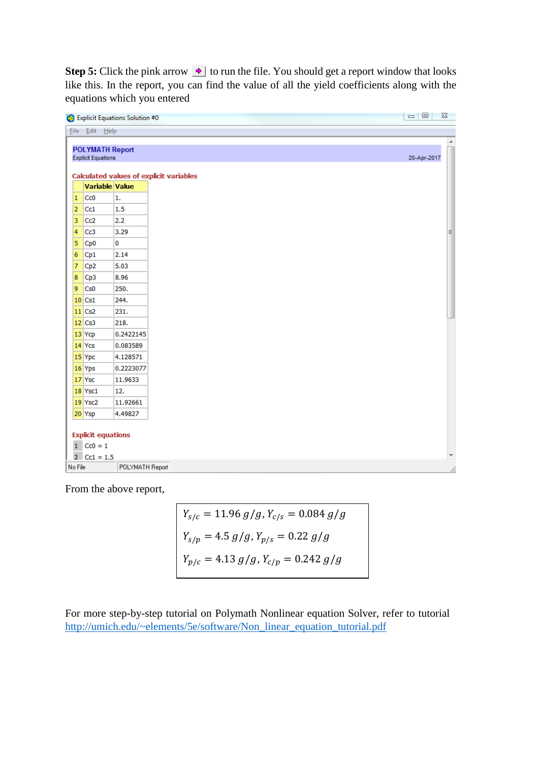**Step 5:** Click the pink arrow  $\rightarrow$  to run the file. You should get a report window that looks like this. In the report, you can find the value of all the yield coefficients along with the equations which you entered

| File Edit Help         |                               |                                                                                                                                                                                                                                                                                  |
|------------------------|-------------------------------|----------------------------------------------------------------------------------------------------------------------------------------------------------------------------------------------------------------------------------------------------------------------------------|
|                        |                               |                                                                                                                                                                                                                                                                                  |
|                        |                               |                                                                                                                                                                                                                                                                                  |
| <b>POLYMATH Report</b> |                               | 20-Apr-2017                                                                                                                                                                                                                                                                      |
|                        |                               |                                                                                                                                                                                                                                                                                  |
|                        |                               |                                                                                                                                                                                                                                                                                  |
|                        |                               |                                                                                                                                                                                                                                                                                  |
|                        |                               |                                                                                                                                                                                                                                                                                  |
|                        |                               |                                                                                                                                                                                                                                                                                  |
|                        |                               |                                                                                                                                                                                                                                                                                  |
| Cc3                    |                               |                                                                                                                                                                                                                                                                                  |
| Cp <sub>0</sub>        |                               |                                                                                                                                                                                                                                                                                  |
| Cp1                    |                               |                                                                                                                                                                                                                                                                                  |
| Cp <sub>2</sub>        |                               |                                                                                                                                                                                                                                                                                  |
| Cp3                    |                               |                                                                                                                                                                                                                                                                                  |
| Cs0                    |                               |                                                                                                                                                                                                                                                                                  |
| $10$ Cs1               |                               |                                                                                                                                                                                                                                                                                  |
| $11$ Cs2               |                               |                                                                                                                                                                                                                                                                                  |
| $12$ Cs3               |                               |                                                                                                                                                                                                                                                                                  |
| 13 Ycp                 |                               |                                                                                                                                                                                                                                                                                  |
| $14$ Ycs               |                               |                                                                                                                                                                                                                                                                                  |
| 15 Ypc                 |                               |                                                                                                                                                                                                                                                                                  |
| 16 Yps                 |                               |                                                                                                                                                                                                                                                                                  |
| 17 Ysc                 |                               |                                                                                                                                                                                                                                                                                  |
| 18 Ysc1                |                               |                                                                                                                                                                                                                                                                                  |
| 19 Ysc2                |                               |                                                                                                                                                                                                                                                                                  |
| 20 Ysp                 | 4.49827                       |                                                                                                                                                                                                                                                                                  |
|                        | Cc0<br>Cc1<br>Cc <sub>2</sub> | <b>Explicit Equations</b><br><b>Calculated values of explicit variables</b><br>Variable Value<br>1.<br>1.5<br>2.2<br>3.29<br>$\mathbf 0$<br>2.14<br>5.03<br>8.96<br>250.<br>244.<br>231.<br>218.<br>0.2422145<br>0.083589<br>4.128571<br>0.2223077<br>11.9633<br>12.<br>11.92661 |

From the above report,

 $Y_{s/c} = 11.96 g/g, Y_{c/s} = 0.084 g/g$  $Y_{s/p} = 4.5 g/g, Y_{p/s} = 0.22 g/g$  $Y_{p/c} = 4.13 g/g, Y_{c/p} = 0.242 g/g$ 

For more step-by-step tutorial on Polymath Nonlinear equation Solver, refer to tutorial [http://umich.edu/~elements/5e/software/Non\\_linear\\_equation\\_tutorial.pdf](http://umich.edu/~elements/5e/software/Non_linear_equation_tutorial.pdf)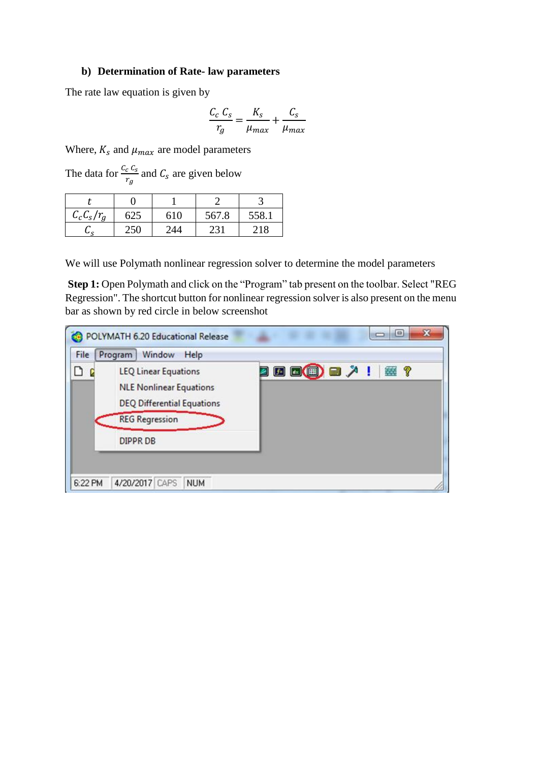## **b) Determination of Rate- law parameters**

The rate law equation is given by

$$
\frac{C_c C_s}{r_g} = \frac{K_s}{\mu_{max}} + \frac{C_s}{\mu_{max}}
$$

Where,  $K_s$  and  $\mu_{max}$  are model parameters

The data for  $\frac{c_c c_s}{r_g}$  and  $C_s$  are given below

| $C_cC_s/r_a$ | 625 | 610 | 567.8           | 558. |
|--------------|-----|-----|-----------------|------|
|              |     | 14  | 23 <sub>1</sub> | 1 R  |

We will use Polymath nonlinear regression solver to determine the model parameters

**Step 1:** Open Polymath and click on the "Program" tab present on the toolbar. Select "REG Regression". The shortcut button for nonlinear regression solver is also present on the menu bar as shown by red circle in below screenshot

| ◘<br><b>LEQ Linear Equations</b><br><b>NLE Nonlinear Equations</b><br><b>DEQ Differential Equations</b><br><b>REG Regression</b><br>DIPPR DB | <b>因因 国 国 ノ !   霊 ?</b> |
|----------------------------------------------------------------------------------------------------------------------------------------------|-------------------------|
|----------------------------------------------------------------------------------------------------------------------------------------------|-------------------------|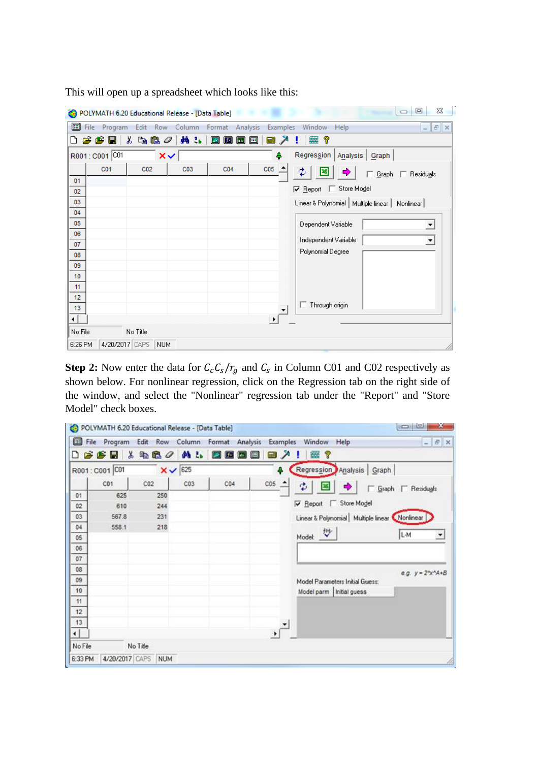| <b>co</b> |                 | POLYMATH 6.20 Educational Release - [Data Table] |                 |                                |                           | X<br>回<br>$\qquad \qquad \Box$                           |
|-----------|-----------------|--------------------------------------------------|-----------------|--------------------------------|---------------------------|----------------------------------------------------------|
| 圓<br>File | Program         |                                                  | Edit Row Column | Format Analysis                | <b>Examples</b>           | Window<br>Help<br>$E \times$<br>$\overline{\phantom{a}}$ |
| ۱۹        | FFH             | y,<br>48 B                                       | 确品              | 圃<br>k.<br>$f$ ×<br>$\vert$ dx | <b>Final</b><br>$\lambda$ | 7<br>簺                                                   |
|           | R001: C001 C01  |                                                  | $\times$        |                                | ٥                         | Regression<br>Analysis   Graph                           |
|           | C <sub>01</sub> | CO <sub>2</sub>                                  | C <sub>03</sub> | C <sub>04</sub>                | CO <sub>5</sub>           | ₫<br><b>□</b> Residuals<br><u>G</u> raph                 |
| 01<br>02  |                 |                                                  |                 |                                |                           | Store Model<br>$\nabla$ Report<br>I.                     |
| 03        |                 |                                                  |                 |                                |                           | Linear & Polynomial   Multiple linear   Nonlinear        |
| 04        |                 |                                                  |                 |                                |                           |                                                          |
| 05<br>06  |                 |                                                  |                 |                                |                           | Dependent Variable<br>▼                                  |
| 07        |                 |                                                  |                 |                                |                           | Independent Variable<br>$\blacktriangledown$             |
| 08        |                 |                                                  |                 |                                |                           | Polynomial Degree                                        |
| 09<br>10  |                 |                                                  |                 |                                |                           |                                                          |
| 11        |                 |                                                  |                 |                                |                           |                                                          |
| 12        |                 |                                                  |                 |                                |                           | $\Box$ Through origin                                    |
| 13<br>⊣∣  |                 |                                                  |                 |                                |                           |                                                          |
| No File   |                 | No Title                                         |                 |                                |                           |                                                          |
| 6:26 PM   | 4/20/2017 CAPS  | <b>NUM</b>                                       |                 |                                |                           |                                                          |

This will open up a spreadsheet which looks like this:

**Step 2:** Now enter the data for  $C_c C_s / r_g$  and  $C_s$  in Column C01 and C02 respectively as shown below. For nonlinear regression, click on the Regression tab on the right side of the window, and select the "Nonlinear" regression tab under the "Report" and "Store Model" check boxes.

|                        | File Program   |                           |                    | Edit Row Column Format Analysis Examples |                    | Window<br>Help                                | $  \in$ $x$                     |
|------------------------|----------------|---------------------------|--------------------|------------------------------------------|--------------------|-----------------------------------------------|---------------------------------|
| D                      | $B$ $B$ $B$    | y<br>ta C<br>$\mathcal Q$ | <b>纳品</b>          | <b>PIF</b><br>圖<br>$\overline{a}$        | Z.<br>m            | P,<br>鎏                                       |                                 |
|                        | R001: C001 C01 |                           | $x \checkmark$ 625 |                                          | ۵                  | Regression Analysis Graph                     |                                 |
|                        | CO1            | CO <sub>2</sub>           | CO <sub>3</sub>    | CO4                                      | $\cos$ $\triangle$ | Φ                                             | □ Graph □ Residuals             |
| 01                     | 625            | 250                       |                    |                                          |                    |                                               |                                 |
| 02                     | 610            | 244                       |                    |                                          |                    | Store Model<br>Report<br>⊽                    |                                 |
| 03                     | 567.8          | 231                       |                    |                                          |                    | Linear & Polynomial Multiple linear Nonlinear |                                 |
| 04                     | 558.1          | 218                       |                    |                                          |                    |                                               |                                 |
| 05                     |                |                           |                    |                                          |                    | Model for                                     | L-M<br>$\overline{\phantom{a}}$ |
| 06                     |                |                           |                    |                                          |                    |                                               |                                 |
| 07                     |                |                           |                    |                                          |                    |                                               |                                 |
| 08                     |                |                           |                    |                                          |                    |                                               | e.g. $y = 2^{n}x^{n}A+B$        |
| 09                     |                |                           |                    |                                          |                    | Model Parameters Initial Guess:               |                                 |
| 10                     |                |                           |                    |                                          |                    | Model parm   Initial guess                    |                                 |
| 11                     |                |                           |                    |                                          |                    |                                               |                                 |
| 12                     |                |                           |                    |                                          |                    |                                               |                                 |
| 13                     |                |                           |                    |                                          |                    |                                               |                                 |
| $\left  \cdot \right $ |                |                           |                    |                                          |                    |                                               |                                 |
| No File                |                | No Title                  |                    |                                          |                    |                                               |                                 |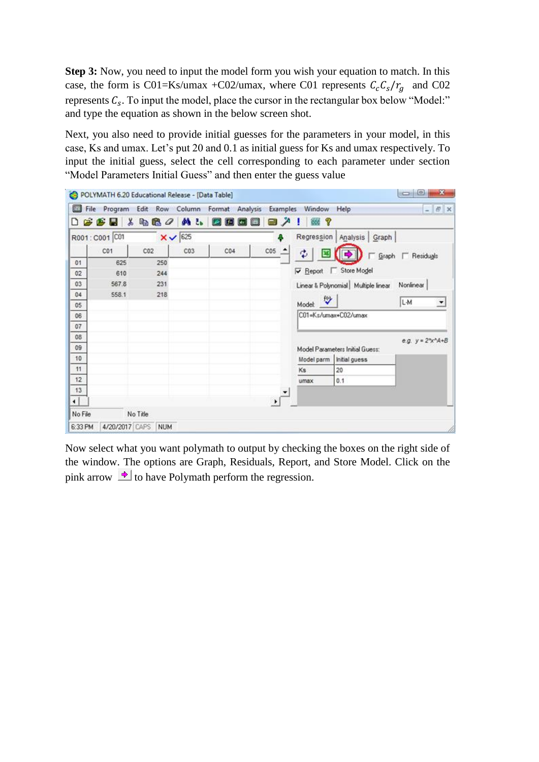**Step 3:** Now, you need to input the model form you wish your equation to match. In this case, the form is C01=Ks/umax +C02/umax, where C01 represents  $C_c C_s / r_g$  and C02 represents  $C_s$ . To input the model, place the cursor in the rectangular box below "Model:" and type the equation as shown in the below screen shot.

Next, you also need to provide initial guesses for the parameters in your model, in this case, Ks and umax. Let's put 20 and 0.1 as initial guess for Ks and umax respectively. To input the initial guess, select the cell corresponding to each parameter under section "Model Parameters Initial Guess" and then enter the guess value



Now select what you want polymath to output by checking the boxes on the right side of the window. The options are Graph, Residuals, Report, and Store Model. Click on the pink arrow  $\rightarrow$  to have Polymath perform the regression.